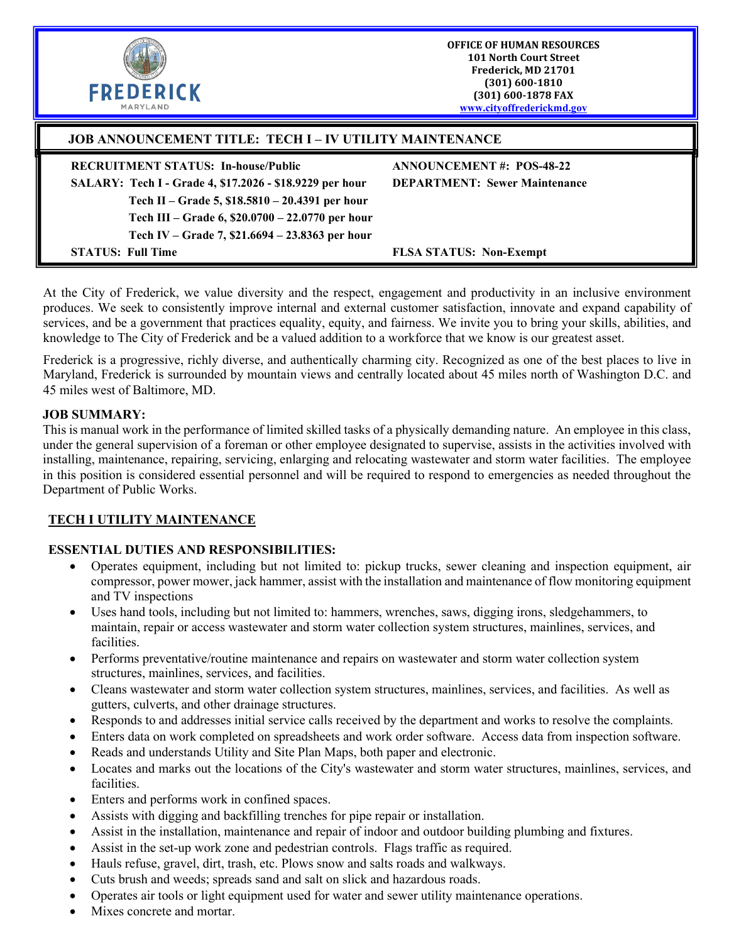| <b>FREDERICK</b><br><b>MARYLAND</b>                                                                 | <b>OFFICE OF HUMAN RESOURCES</b><br><b>101 North Court Street</b><br>Frederick, MD 21701<br>$(301) 600 - 1810$<br>(301) 600-1878 FAX<br>www.cityoffrederickmd.gov |
|-----------------------------------------------------------------------------------------------------|-------------------------------------------------------------------------------------------------------------------------------------------------------------------|
| <b>JOB ANNOUNCEMENT TITLE: TECH I – IV UTILITY MAINTENANCE</b>                                      |                                                                                                                                                                   |
| <b>RECRUITMENT STATUS: In-house/Public</b>                                                          | <b>ANNOUNCEMENT#: POS-48-22</b>                                                                                                                                   |
| SALARY: Tech I - Grade 4, \$17.2026 - \$18.9229 per hour                                            | <b>DEPARTMENT: Sewer Maintenance</b>                                                                                                                              |
| Tech II – Grade 5, \$18.5810 – 20.4391 per hour<br>Tech III – Grade 6, \$20.0700 – 22.0770 per hour |                                                                                                                                                                   |
| Tech IV – Grade 7, \$21.6694 – 23.8363 per hour                                                     |                                                                                                                                                                   |
| <b>STATUS: Full Time</b>                                                                            | <b>FLSA STATUS: Non-Exempt</b>                                                                                                                                    |

At the City of Frederick, we value diversity and the respect, engagement and productivity in an inclusive environment produces. We seek to consistently improve internal and external customer satisfaction, innovate and expand capability of services, and be a government that practices equality, equity, and fairness. We invite you to bring your skills, abilities, and knowledge to The City of Frederick and be a valued addition to a workforce that we know is our greatest asset.

Frederick is a progressive, richly diverse, and authentically charming city. Recognized as one of the best places to live in Maryland, Frederick is surrounded by mountain views and centrally located about 45 miles north of Washington D.C. and 45 miles west of Baltimore, MD.

#### **JOB SUMMARY:**

This is manual work in the performance of limited skilled tasks of a physically demanding nature. An employee in this class, under the general supervision of a foreman or other employee designated to supervise, assists in the activities involved with installing, maintenance, repairing, servicing, enlarging and relocating wastewater and storm water facilities. The employee in this position is considered essential personnel and will be required to respond to emergencies as needed throughout the Department of Public Works.

### **TECH I UTILITY MAINTENANCE**

### **ESSENTIAL DUTIES AND RESPONSIBILITIES:**

- Operates equipment, including but not limited to: pickup trucks, sewer cleaning and inspection equipment, air compressor, power mower, jack hammer, assist with the installation and maintenance of flow monitoring equipment and TV inspections
- Uses hand tools, including but not limited to: hammers, wrenches, saws, digging irons, sledgehammers, to maintain, repair or access wastewater and storm water collection system structures, mainlines, services, and facilities.
- Performs preventative/routine maintenance and repairs on wastewater and storm water collection system structures, mainlines, services, and facilities.
- Cleans wastewater and storm water collection system structures, mainlines, services, and facilities. As well as gutters, culverts, and other drainage structures.
- Responds to and addresses initial service calls received by the department and works to resolve the complaints.
- Enters data on work completed on spreadsheets and work order software. Access data from inspection software.
- Reads and understands Utility and Site Plan Maps, both paper and electronic.
- Locates and marks out the locations of the City's wastewater and storm water structures, mainlines, services, and facilities.
- Enters and performs work in confined spaces.
- Assists with digging and backfilling trenches for pipe repair or installation.
- Assist in the installation, maintenance and repair of indoor and outdoor building plumbing and fixtures.
- Assist in the set-up work zone and pedestrian controls. Flags traffic as required.
- Hauls refuse, gravel, dirt, trash, etc. Plows snow and salts roads and walkways.
- Cuts brush and weeds; spreads sand and salt on slick and hazardous roads.
- Operates air tools or light equipment used for water and sewer utility maintenance operations.
- Mixes concrete and mortar.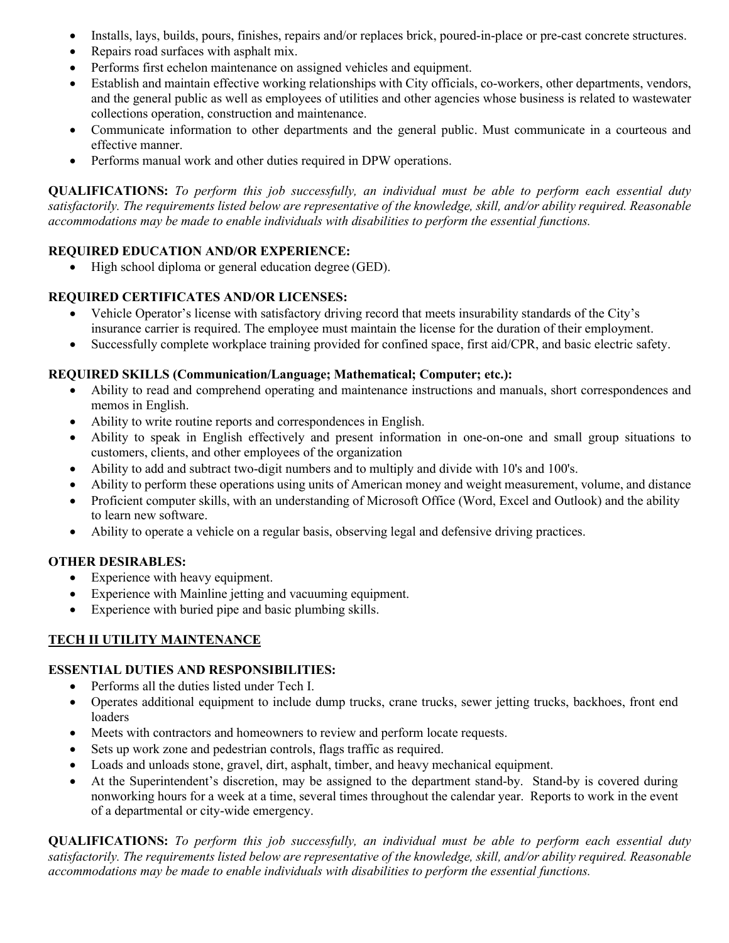- Installs, lays, builds, pours, finishes, repairs and/or replaces brick, poured-in-place or pre-cast concrete structures.
- Repairs road surfaces with asphalt mix.
- Performs first echelon maintenance on assigned vehicles and equipment.
- Establish and maintain effective working relationships with City officials, co-workers, other departments, vendors, and the general public as well as employees of utilities and other agencies whose business is related to wastewater collections operation, construction and maintenance.
- Communicate information to other departments and the general public. Must communicate in a courteous and effective manner.
- Performs manual work and other duties required in DPW operations.

**QUALIFICATIONS:** *To perform this job successfully, an individual must be able to perform each essential duty satisfactorily. The requirements listed below are representative of the knowledge, skill, and/or ability required. Reasonable accommodations may be made to enable individuals with disabilities to perform the essential functions.*

### **REQUIRED EDUCATION AND/OR EXPERIENCE:**

• High school diploma or general education degree (GED).

### **REQUIRED CERTIFICATES AND/OR LICENSES:**

- Vehicle Operator's license with satisfactory driving record that meets insurability standards of the City's insurance carrier is required. The employee must maintain the license for the duration of their employment.
- Successfully complete workplace training provided for confined space, first aid/CPR, and basic electric safety.

### **REQUIRED SKILLS (Communication/Language; Mathematical; Computer; etc.):**

- Ability to read and comprehend operating and maintenance instructions and manuals, short correspondences and memos in English.
- Ability to write routine reports and correspondences in English.
- Ability to speak in English effectively and present information in one-on-one and small group situations to customers, clients, and other employees of the organization
- Ability to add and subtract two-digit numbers and to multiply and divide with 10's and 100's.
- Ability to perform these operations using units of American money and weight measurement, volume, and distance
- Proficient computer skills, with an understanding of Microsoft Office (Word, Excel and Outlook) and the ability to learn new software.
- Ability to operate a vehicle on a regular basis, observing legal and defensive driving practices.

### **OTHER DESIRABLES:**

- Experience with heavy equipment.
- Experience with Mainline jetting and vacuuming equipment.
- Experience with buried pipe and basic plumbing skills.

### **TECH II UTILITY MAINTENANCE**

### **ESSENTIAL DUTIES AND RESPONSIBILITIES:**

- Performs all the duties listed under Tech I.
- Operates additional equipment to include dump trucks, crane trucks, sewer jetting trucks, backhoes, front end loaders
- Meets with contractors and homeowners to review and perform locate requests.
- Sets up work zone and pedestrian controls, flags traffic as required.
- Loads and unloads stone, gravel, dirt, asphalt, timber, and heavy mechanical equipment.
- At the Superintendent's discretion, may be assigned to the department stand-by. Stand-by is covered during nonworking hours for a week at a time, several times throughout the calendar year. Reports to work in the event of a departmental or city-wide emergency.

**QUALIFICATIONS:** *To perform this job successfully, an individual must be able to perform each essential duty satisfactorily. The requirements listed below are representative of the knowledge, skill, and/or ability required. Reasonable accommodations may be made to enable individuals with disabilities to perform the essential functions.*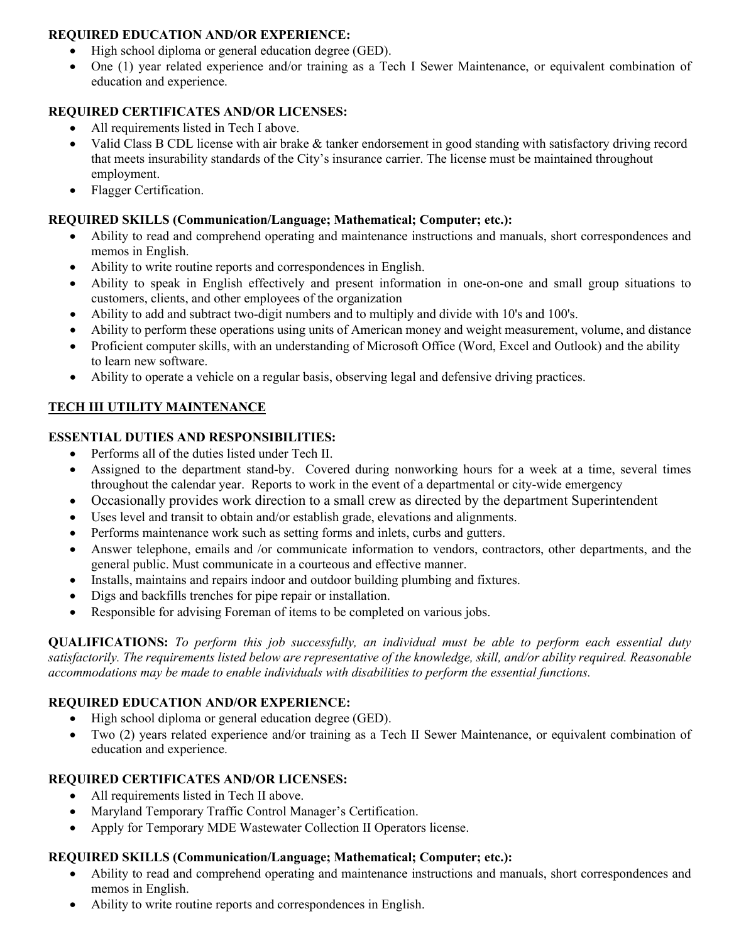### **REQUIRED EDUCATION AND/OR EXPERIENCE:**

- High school diploma or general education degree (GED).
- One (1) year related experience and/or training as a Tech I Sewer Maintenance, or equivalent combination of education and experience.

## **REQUIRED CERTIFICATES AND/OR LICENSES:**

- All requirements listed in Tech I above.
- Valid Class B CDL license with air brake & tanker endorsement in good standing with satisfactory driving record that meets insurability standards of the City's insurance carrier. The license must be maintained throughout employment.
- Flagger Certification.

### **REQUIRED SKILLS (Communication/Language; Mathematical; Computer; etc.):**

- Ability to read and comprehend operating and maintenance instructions and manuals, short correspondences and memos in English.
- Ability to write routine reports and correspondences in English.
- Ability to speak in English effectively and present information in one-on-one and small group situations to customers, clients, and other employees of the organization
- Ability to add and subtract two-digit numbers and to multiply and divide with 10's and 100's.
- Ability to perform these operations using units of American money and weight measurement, volume, and distance
- Proficient computer skills, with an understanding of Microsoft Office (Word, Excel and Outlook) and the ability to learn new software.
- Ability to operate a vehicle on a regular basis, observing legal and defensive driving practices.

## **TECH III UTILITY MAINTENANCE**

### **ESSENTIAL DUTIES AND RESPONSIBILITIES:**

- Performs all of the duties listed under Tech II.
- Assigned to the department stand-by. Covered during nonworking hours for a week at a time, several times throughout the calendar year. Reports to work in the event of a departmental or city-wide emergency
- Occasionally provides work direction to a small crew as directed by the department Superintendent
- Uses level and transit to obtain and/or establish grade, elevations and alignments.
- Performs maintenance work such as setting forms and inlets, curbs and gutters.
- Answer telephone, emails and /or communicate information to vendors, contractors, other departments, and the general public. Must communicate in a courteous and effective manner.
- Installs, maintains and repairs indoor and outdoor building plumbing and fixtures.
- Digs and backfills trenches for pipe repair or installation.
- Responsible for advising Foreman of items to be completed on various jobs.

**QUALIFICATIONS:** *To perform this job successfully, an individual must be able to perform each essential duty satisfactorily. The requirements listed below are representative of the knowledge, skill, and/or ability required. Reasonable accommodations may be made to enable individuals with disabilities to perform the essential functions.*

### **REQUIRED EDUCATION AND/OR EXPERIENCE:**

- High school diploma or general education degree (GED).
- Two (2) years related experience and/or training as a Tech II Sewer Maintenance, or equivalent combination of education and experience.

### **REQUIRED CERTIFICATES AND/OR LICENSES:**

- All requirements listed in Tech II above.
- Maryland Temporary Traffic Control Manager's Certification.
- Apply for Temporary MDE Wastewater Collection II Operators license.

### **REQUIRED SKILLS (Communication/Language; Mathematical; Computer; etc.):**

- Ability to read and comprehend operating and maintenance instructions and manuals, short correspondences and memos in English.
- Ability to write routine reports and correspondences in English.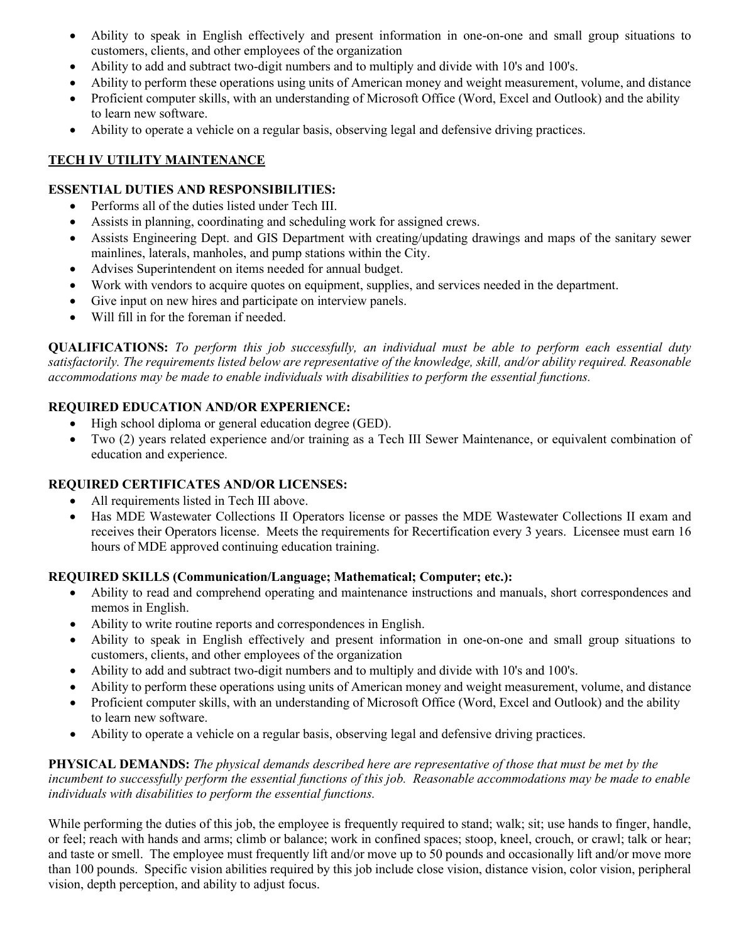- Ability to speak in English effectively and present information in one-on-one and small group situations to customers, clients, and other employees of the organization
- Ability to add and subtract two-digit numbers and to multiply and divide with 10's and 100's.
- Ability to perform these operations using units of American money and weight measurement, volume, and distance
- Proficient computer skills, with an understanding of Microsoft Office (Word, Excel and Outlook) and the ability to learn new software.
- Ability to operate a vehicle on a regular basis, observing legal and defensive driving practices.

# **TECH IV UTILITY MAINTENANCE**

## **ESSENTIAL DUTIES AND RESPONSIBILITIES:**

- Performs all of the duties listed under Tech III.
- Assists in planning, coordinating and scheduling work for assigned crews.
- Assists Engineering Dept. and GIS Department with creating/updating drawings and maps of the sanitary sewer mainlines, laterals, manholes, and pump stations within the City.
- Advises Superintendent on items needed for annual budget.
- Work with vendors to acquire quotes on equipment, supplies, and services needed in the department.
- Give input on new hires and participate on interview panels.
- Will fill in for the foreman if needed.

**QUALIFICATIONS:** *To perform this job successfully, an individual must be able to perform each essential duty satisfactorily. The requirements listed below are representative of the knowledge, skill, and/or ability required. Reasonable accommodations may be made to enable individuals with disabilities to perform the essential functions.*

## **REQUIRED EDUCATION AND/OR EXPERIENCE:**

- High school diploma or general education degree (GED).
- Two (2) years related experience and/or training as a Tech III Sewer Maintenance, or equivalent combination of education and experience.

## **REQUIRED CERTIFICATES AND/OR LICENSES:**

- All requirements listed in Tech III above.
- Has MDE Wastewater Collections II Operators license or passes the MDE Wastewater Collections II exam and receives their Operators license. Meets the requirements for Recertification every 3 years. Licensee must earn 16 hours of MDE approved continuing education training.

## **REQUIRED SKILLS (Communication/Language; Mathematical; Computer; etc.):**

- Ability to read and comprehend operating and maintenance instructions and manuals, short correspondences and memos in English.
- Ability to write routine reports and correspondences in English.
- Ability to speak in English effectively and present information in one-on-one and small group situations to customers, clients, and other employees of the organization
- Ability to add and subtract two-digit numbers and to multiply and divide with 10's and 100's.
- Ability to perform these operations using units of American money and weight measurement, volume, and distance
- Proficient computer skills, with an understanding of Microsoft Office (Word, Excel and Outlook) and the ability to learn new software.
- Ability to operate a vehicle on a regular basis, observing legal and defensive driving practices.

**PHYSICAL DEMANDS:** *The physical demands described here are representative of those that must be met by the incumbent to successfully perform the essential functions of this job. Reasonable accommodations may be made to enable individuals with disabilities to perform the essential functions.*

While performing the duties of this job, the employee is frequently required to stand; walk; sit; use hands to finger, handle, or feel; reach with hands and arms; climb or balance; work in confined spaces; stoop, kneel, crouch, or crawl; talk or hear; and taste or smell. The employee must frequently lift and/or move up to 50 pounds and occasionally lift and/or move more than 100 pounds. Specific vision abilities required by this job include close vision, distance vision, color vision, peripheral vision, depth perception, and ability to adjust focus.